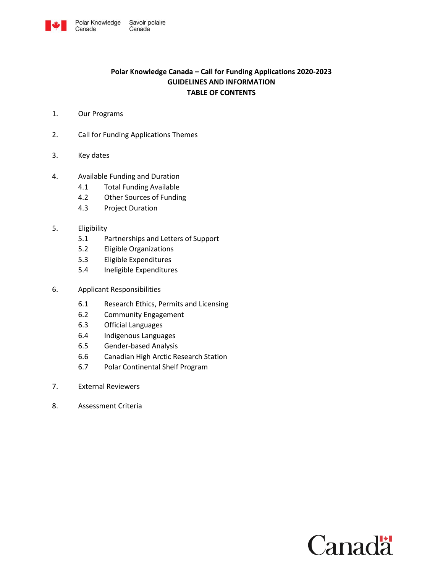

# **Polar Knowledge Canada – Call for Funding Applications 2020-2023 GUIDELINES AND INFORMATION TABLE OF CONTENTS**

1. Our Programs

Canada

- 2. Call for Funding Applications Themes
- 3. Key dates
- 4. Available Funding and Duration
	- 4.1 Total Funding Available
	- 4.2 Other Sources of Funding
	- 4.3 Project Duration
- 5. Eligibility
	- 5.1 Partnerships and Letters of Support
	- 5.2 Eligible Organizations
	- 5.3 Eligible Expenditures
	- 5.4 Ineligible Expenditures
- 6. Applicant Responsibilities
	- 6.1 Research Ethics, Permits and Licensing
	- 6.2 Community Engagement
	- 6.3 Official Languages
	- 6.4 Indigenous Languages
	- 6.5 Gender-based Analysis
	- 6.6 Canadian High Arctic Research Station
	- 6.7 Polar Continental Shelf Program
- 7. External Reviewers
- 8. Assessment Criteria

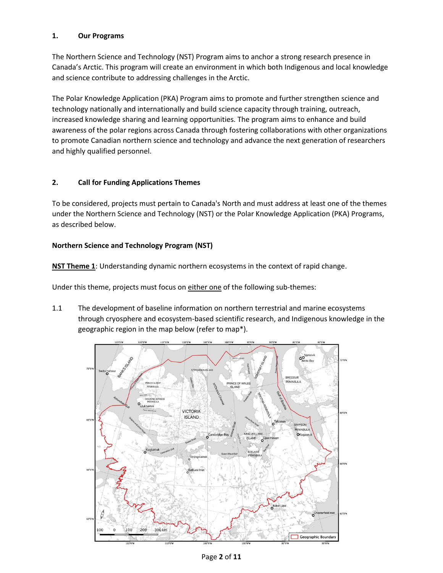# **1. Our Programs**

The Northern Science and Technology (NST) Program aims to anchor a strong research presence in Canada's Arctic. This program will create an environment in which both Indigenous and local knowledge and science contribute to addressing challenges in the Arctic.

The Polar Knowledge Application (PKA) Program aims to promote and further strengthen science and technology nationally and internationally and build science capacity through training, outreach, increased knowledge sharing and learning opportunities. The program aims to enhance and build awareness of the polar regions across Canada through fostering collaborations with other organizations to promote Canadian northern science and technology and advance the next generation of researchers and highly qualified personnel.

# **2. Call for Funding Applications Themes**

To be considered, projects must pertain to Canada's North and must address at least one of the themes under the Northern Science and Technology (NST) or the Polar Knowledge Application (PKA) Programs, as described below.

## **Northern Science and Technology Program (NST)**

**NST Theme 1**: Understanding dynamic northern ecosystems in the context of rapid change.

Under this theme, projects must focus on either one of the following sub-themes:

1.1 The development of baseline information on northern terrestrial and marine ecosystems through cryosphere and ecosystem-based scientific research, and Indigenous knowledge in the geographic region in the map below (refer to map\*).

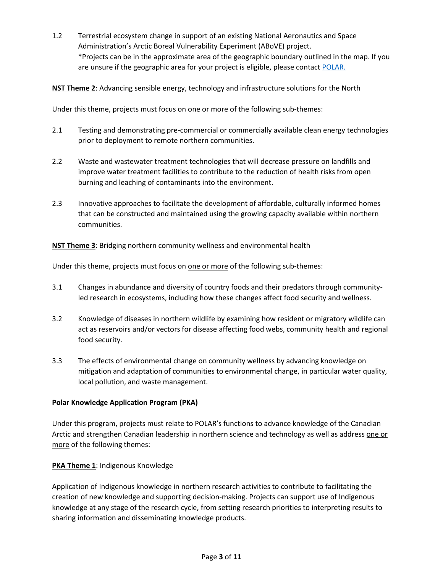1.2 Terrestrial ecosystem change in support of an existing National Aeronautics and Space Administration's Arctic Boreal Vulnerability Experiment (ABoVE) project. \*Projects can be in the approximate area of the geographic boundary outlined in the map. If you are unsure if the geographic area for your project is eligible, please contact [POLAR.](mailto:Grants-Contributions%20%3cgrants-contributions@polar.gc.ca%3e)

**NST Theme 2**: Advancing sensible energy, technology and infrastructure solutions for the North

Under this theme, projects must focus on one or more of the following sub-themes:

- 2.1 Testing and demonstrating pre-commercial or commercially available clean energy technologies prior to deployment to remote northern communities.
- 2.2 Waste and wastewater treatment technologies that will decrease pressure on landfills and improve water treatment facilities to contribute to the reduction of health risks from open burning and leaching of contaminants into the environment.
- 2.3 Innovative approaches to facilitate the development of affordable, culturally informed homes that can be constructed and maintained using the growing capacity available within northern communities.

**NST Theme 3**: Bridging northern community wellness and environmental health

Under this theme, projects must focus on one or more of the following sub-themes:

- 3.1 Changes in abundance and diversity of country foods and their predators through communityled research in ecosystems, including how these changes affect food security and wellness.
- 3.2 Knowledge of diseases in northern wildlife by examining how resident or migratory wildlife can act as reservoirs and/or vectors for disease affecting food webs, community health and regional food security.
- 3.3 The effects of environmental change on community wellness by advancing knowledge on mitigation and adaptation of communities to environmental change, in particular water quality, local pollution, and waste management.

## **Polar Knowledge Application Program (PKA)**

Under this program, projects must relate to POLAR's functions to advance knowledge of the Canadian Arctic and strengthen Canadian leadership in northern science and technology as well as address one or more of the following themes:

## **PKA Theme 1: Indigenous Knowledge**

Application of Indigenous knowledge in northern research activities to contribute to facilitating the creation of new knowledge and supporting decision-making. Projects can support use of Indigenous knowledge at any stage of the research cycle, from setting research priorities to interpreting results to sharing information and disseminating knowledge products.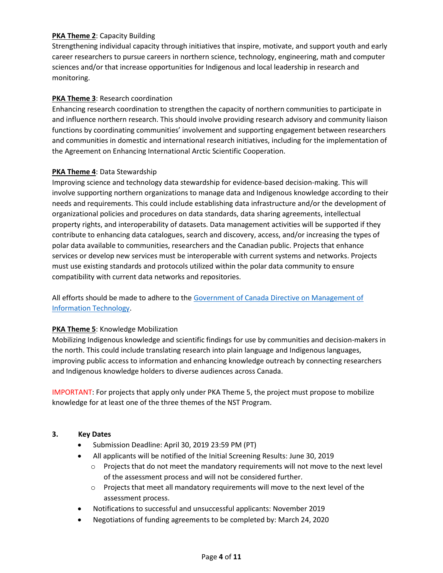# **PKA Theme 2: Capacity Building**

Strengthening individual capacity through initiatives that inspire, motivate, and support youth and early career researchers to pursue careers in northern science, technology, engineering, math and computer sciences and/or that increase opportunities for Indigenous and local leadership in research and monitoring.

# **PKA Theme 3**: Research coordination

Enhancing research coordination to strengthen the capacity of northern communities to participate in and influence northern research. This should involve providing research advisory and community liaison functions by coordinating communities' involvement and supporting engagement between researchers and communities in domestic and international research initiatives, including for the implementation of the Agreement on Enhancing International Arctic Scientific Cooperation.

# **PKA Theme 4**: Data Stewardship

Improving science and technology data stewardship for evidence-based decision-making. This will involve supporting northern organizations to manage data and Indigenous knowledge according to their needs and requirements. This could include establishing data infrastructure and/or the development of organizational policies and procedures on data standards, data sharing agreements, intellectual property rights, and interoperability of datasets. Data management activities will be supported if they contribute to enhancing data catalogues, search and discovery, access, and/or increasing the types of polar data available to communities, researchers and the Canadian public. Projects that enhance services or develop new services must be interoperable with current systems and networks. Projects must use existing standards and protocols utilized within the polar data community to ensure compatibility with current data networks and repositories.

All efforts should be made to adhere to th[e Government of Canada Directive on Management of](https://www.tbs-sct.gc.ca/pol/doc-eng.aspx?id=15249)  [Information Technology.](https://www.tbs-sct.gc.ca/pol/doc-eng.aspx?id=15249)

# **PKA Theme 5: Knowledge Mobilization**

Mobilizing Indigenous knowledge and scientific findings for use by communities and decision-makers in the north. This could include translating research into plain language and Indigenous languages, improving public access to information and enhancing knowledge outreach by connecting researchers and Indigenous knowledge holders to diverse audiences across Canada.

IMPORTANT: For projects that apply only under PKA Theme 5, the project must propose to mobilize knowledge for at least one of the three themes of the NST Program.

# **3. Key Dates**

- Submission Deadline: April 30, 2019 23:59 PM (PT)
- All applicants will be notified of the Initial Screening Results: June 30, 2019
	- o Projects that do not meet the mandatory requirements will not move to the next level of the assessment process and will not be considered further.
	- o Projects that meet all mandatory requirements will move to the next level of the assessment process.
- Notifications to successful and unsuccessful applicants: November 2019
- Negotiations of funding agreements to be completed by: March 24, 2020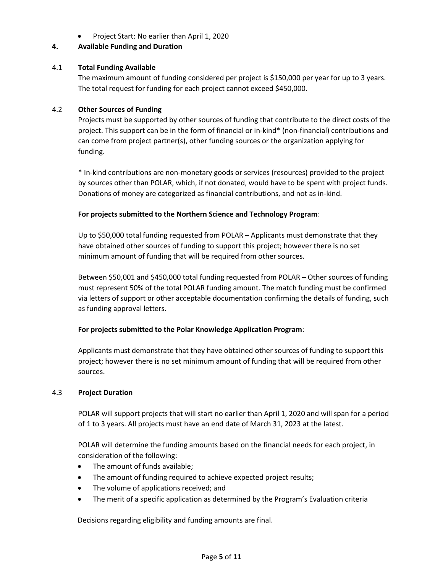Project Start: No earlier than April 1, 2020

## **4. Available Funding and Duration**

## 4.1 **Total Funding Available**

The maximum amount of funding considered per project is \$150,000 per year for up to 3 years. The total request for funding for each project cannot exceed \$450,000.

## 4.2 **Other Sources of Funding**

Projects must be supported by other sources of funding that contribute to the direct costs of the project. This support can be in the form of financial or in-kind\* (non-financial) contributions and can come from project partner(s), other funding sources or the organization applying for funding.

\* In-kind contributions are non-monetary goods or services (resources) provided to the project by sources other than POLAR, which, if not donated, would have to be spent with project funds. Donations of money are categorized as financial contributions, and not as in-kind.

## **For projects submitted to the Northern Science and Technology Program**:

Up to \$50,000 total funding requested from POLAR – Applicants must demonstrate that they have obtained other sources of funding to support this project; however there is no set minimum amount of funding that will be required from other sources.

Between \$50,001 and \$450,000 total funding requested from POLAR – Other sources of funding must represent 50% of the total POLAR funding amount. The match funding must be confirmed via letters of support or other acceptable documentation confirming the details of funding, such as funding approval letters.

## **For projects submitted to the Polar Knowledge Application Program**:

Applicants must demonstrate that they have obtained other sources of funding to support this project; however there is no set minimum amount of funding that will be required from other sources.

## 4.3 **Project Duration**

POLAR will support projects that will start no earlier than April 1, 2020 and will span for a period of 1 to 3 years. All projects must have an end date of March 31, 2023 at the latest.

POLAR will determine the funding amounts based on the financial needs for each project, in consideration of the following:

- The amount of funds available;
- The amount of funding required to achieve expected project results;
- The volume of applications received; and
- The merit of a specific application as determined by the Program's Evaluation criteria

Decisions regarding eligibility and funding amounts are final.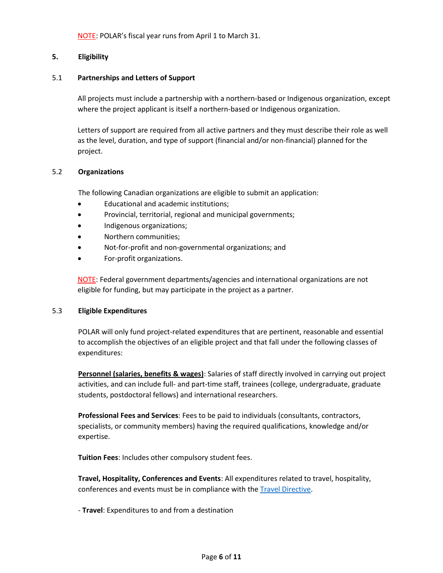NOTE: POLAR's fiscal year runs from April 1 to March 31.

# **5. Eligibility**

## 5.1 **Partnerships and Letters of Support**

All projects must include a partnership with a northern-based or Indigenous organization, except where the project applicant is itself a northern-based or Indigenous organization.

Letters of support are required from all active partners and they must describe their role as well as the level, duration, and type of support (financial and/or non-financial) planned for the project.

## 5.2 **Organizations**

The following Canadian organizations are eligible to submit an application:

- Educational and academic institutions;
- Provincial, territorial, regional and municipal governments;
- Indigenous organizations;
- Northern communities;
- Not-for-profit and non-governmental organizations; and
- For-profit organizations.

NOTE: Federal government departments/agencies and international organizations are not eligible for funding, but may participate in the project as a partner.

## 5.3 **Eligible Expenditures**

POLAR will only fund project-related expenditures that are pertinent, reasonable and essential to accomplish the objectives of an eligible project and that fall under the following classes of expenditures:

**Personnel (salaries, benefits & wages)**: Salaries of staff directly involved in carrying out project activities, and can include full- and part-time staff, trainees (college, undergraduate, graduate students, postdoctoral fellows) and international researchers.

**Professional Fees and Services**: Fees to be paid to individuals (consultants, contractors, specialists, or community members) having the required qualifications, knowledge and/or expertise.

**Tuition Fees**: Includes other compulsory student fees.

**Travel, Hospitality, Conferences and Events**: All expenditures related to travel, hospitality, conferences and events must be in compliance with the [Travel Directive.](https://www.njc-cnm.gc.ca/directive/d10/en)

- **Travel**: Expenditures to and from a destination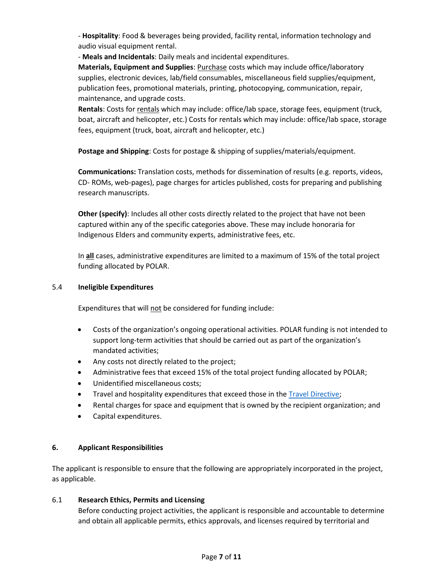- **Hospitality**: Food & beverages being provided, facility rental, information technology and audio visual equipment rental.

- **Meals and Incidentals**: Daily meals and incidental expenditures.

**Materials, Equipment and Supplies**: **Purchase costs which may include office/laboratory** supplies, electronic devices, lab/field consumables, miscellaneous field supplies/equipment, publication fees, promotional materials, printing, photocopying, communication, repair, maintenance, and upgrade costs.

**Rentals**: Costs for rentals which may include: office/lab space, storage fees, equipment (truck, boat, aircraft and helicopter, etc.) Costs for rentals which may include: office/lab space, storage fees, equipment (truck, boat, aircraft and helicopter, etc.)

**Postage and Shipping**: Costs for postage & shipping of supplies/materials/equipment.

**Communications:** Translation costs, methods for dissemination of results (e.g. reports, videos, CD- ROMs, web-pages), page charges for articles published, costs for preparing and publishing research manuscripts.

**Other (specify)**: Includes all other costs directly related to the project that have not been captured within any of the specific categories above. These may include honoraria for Indigenous Elders and community experts, administrative fees, etc.

In **all** cases, administrative expenditures are limited to a maximum of 15% of the total project funding allocated by POLAR.

# 5.4 **Ineligible Expenditures**

Expenditures that will not be considered for funding include:

- Costs of the organization's ongoing operational activities. POLAR funding is not intended to support long-term activities that should be carried out as part of the organization's mandated activities;
- Any costs not directly related to the project;
- Administrative fees that exceed 15% of the total project funding allocated by POLAR;
- Unidentified miscellaneous costs;
- Travel and hospitality expenditures that exceed those in the [Travel Directive;](https://www.njc-cnm.gc.ca/directive/d10/en)
- Rental charges for space and equipment that is owned by the recipient organization; and
- Capital expenditures.

# **6. Applicant Responsibilities**

The applicant is responsible to ensure that the following are appropriately incorporated in the project, as applicable.

# 6.1 **Research Ethics, Permits and Licensing**

Before conducting project activities, the applicant is responsible and accountable to determine and obtain all applicable permits, ethics approvals, and licenses required by territorial and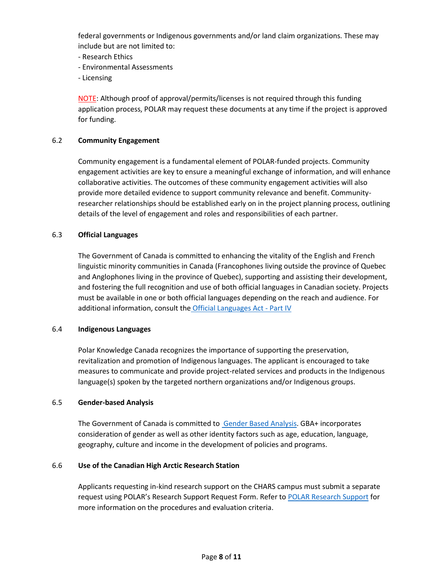federal governments or Indigenous governments and/or land claim organizations. These may include but are not limited to:

- Research Ethics
- Environmental Assessments
- Licensing

NOTE: Although proof of approval/permits/licenses is not required through this funding application process, POLAR may request these documents at any time if the project is approved for funding.

## 6.2 **Community Engagement**

Community engagement is a fundamental element of POLAR-funded projects. Community engagement activities are key to ensure a meaningful exchange of information, and will enhance collaborative activities. The outcomes of these community engagement activities will also provide more detailed evidence to support community relevance and benefit. Communityresearcher relationships should be established early on in the project planning process, outlining details of the level of engagement and roles and responsibilities of each partner.

#### 6.3 **Official Languages**

The Government of Canada is committed to enhancing the vitality of the English and French linguistic minority communities in Canada (Francophones living outside the province of Quebec and Anglophones living in the province of Quebec), supporting and assisting their development, and fostering the full recognition and use of both official languages in Canadian society. Projects must be available in one or both official languages depending on the reach and audience. For additional information, consult the [Official Languages Act -](https://laws-lois.justice.gc.ca/eng/acts/O-3.01/page-3.html#h-7) Part IV

#### 6.4 **Indigenous Languages**

Polar Knowledge Canada recognizes the importance of supporting the preservation, revitalization and promotion of Indigenous languages. The applicant is encouraged to take measures to communicate and provide project-related services and products in the Indigenous language(s) spoken by the targeted northern organizations and/or Indigenous groups.

#### 6.5 **Gender-based Analysis**

The Government of Canada is committed to [Gender Based Analysis.](https://www.canada.ca/en/treasury-board-secretariat/services/treasury-board-submissions/gender-based-analysis-plus.html) GBA+ incorporates consideration of gender as well as other identity factors such as age, education, language, geography, culture and income in the development of policies and programs.

## 6.6 **Use of the Canadian High Arctic Research Station**

Applicants requesting in-kind research support on the CHARS campus must submit a separate request using POLAR's Research Support Request Form. Refer to [POLAR Research Support](https://www.canada.ca/en/polar-knowledge/charsusingcampus.html#Research-Support) for more information on the procedures and evaluation criteria.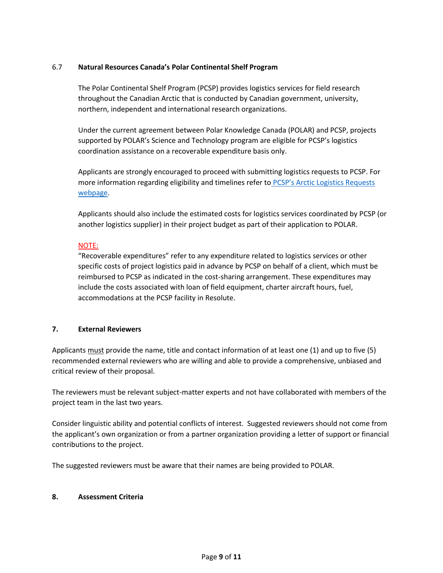## 6.7 **Natural Resources Canada's Polar Continental Shelf Program**

The Polar Continental Shelf Program (PCSP) provides logistics services for field research throughout the Canadian Arctic that is conducted by Canadian government, university, northern, independent and international research organizations.

Under the current agreement between Polar Knowledge Canada (POLAR) and PCSP, projects supported by POLAR's Science and Technology program are eligible for PCSP's logistics coordination assistance on a recoverable expenditure basis only.

Applicants are strongly encouraged to proceed with submitting logistics requests to PCSP. For more information regarding eligibility and timelines refer to PCSP's Arctic Logistics Requests [webpage.](https://www.nrcan.gc.ca/the-north/polar-continental-shelf-program/arctic-logistics-requests/9991)

Applicants should also include the estimated costs for logistics services coordinated by PCSP (or another logistics supplier) in their project budget as part of their application to POLAR.

## NOTE:

"Recoverable expenditures" refer to any expenditure related to logistics services or other specific costs of project logistics paid in advance by PCSP on behalf of a client, which must be reimbursed to PCSP as indicated in the cost-sharing arrangement. These expenditures may include the costs associated with loan of field equipment, charter aircraft hours, fuel, accommodations at the PCSP facility in Resolute.

## **7. External Reviewers**

Applicants must provide the name, title and contact information of at least one (1) and up to five (5) recommended external reviewers who are willing and able to provide a comprehensive, unbiased and critical review of their proposal.

The reviewers must be relevant subject-matter experts and not have collaborated with members of the project team in the last two years.

Consider linguistic ability and potential conflicts of interest. Suggested reviewers should not come from the applicant's own organization or from a partner organization providing a letter of support or financial contributions to the project.

The suggested reviewers must be aware that their names are being provided to POLAR.

## **8. Assessment Criteria**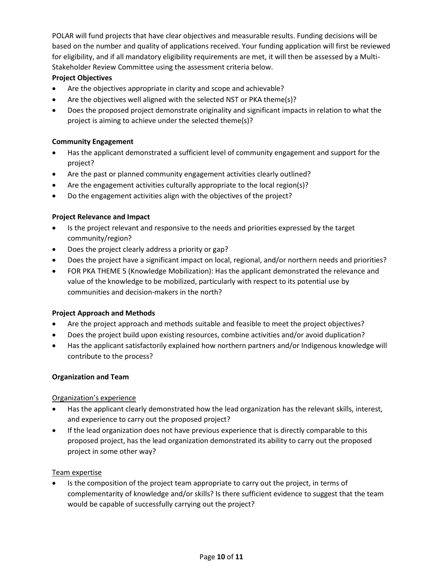POLAR will fund projects that have clear objectives and measurable results. Funding decisions will be based on the number and quality of applications received. Your funding application will first be reviewed for eligibility, and if all mandatory eligibility requirements are met, it will then be assessed by a Multi-Stakeholder Review Committee using the assessment criteria below.

# **Project Objectives**

- Are the objectives appropriate in clarity and scope and achievable?
- Are the objectives well aligned with the selected NST or PKA theme(s)?
- Does the proposed project demonstrate originality and significant impacts in relation to what the project is aiming to achieve under the selected theme(s)?

# **Community Engagement**

- Has the applicant demonstrated a sufficient level of community engagement and support for the project?
- Are the past or planned community engagement activities clearly outlined?
- Are the engagement activities culturally appropriate to the local region(s)?
- Do the engagement activities align with the objectives of the project?

## **Project Relevance and Impact**

- Is the project relevant and responsive to the needs and priorities expressed by the target community/region?
- Does the project clearly address a priority or gap?
- Does the project have a significant impact on local, regional, and/or northern needs and priorities?
- FOR PKA THEME 5 (Knowledge Mobilization): Has the applicant demonstrated the relevance and value of the knowledge to be mobilized, particularly with respect to its potential use by communities and decision-makers in the north?

## **Project Approach and Methods**

- Are the project approach and methods suitable and feasible to meet the project objectives?
- Does the project build upon existing resources, combine activities and/or avoid duplication?
- Has the applicant satisfactorily explained how northern partners and/or Indigenous knowledge will contribute to the process?

## **Organization and Team**

## Organization's experience

- Has the applicant clearly demonstrated how the lead organization has the relevant skills, interest, and experience to carry out the proposed project?
- If the lead organization does not have previous experience that is directly comparable to this proposed project, has the lead organization demonstrated its ability to carry out the proposed project in some other way?

## Team expertise

 Is the composition of the project team appropriate to carry out the project, in terms of complementarity of knowledge and/or skills? Is there sufficient evidence to suggest that the team would be capable of successfully carrying out the project?